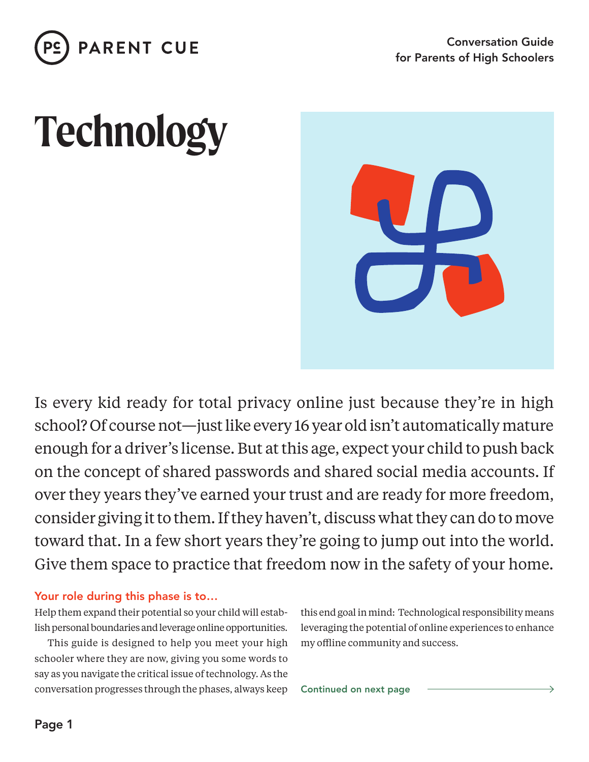

# **Technology**



Is every kid ready for total privacy online just because they're in high school? Of course not—just like every 16 year old isn't automatically mature enough for a driver's license. But at this age, expect your child to push back on the concept of shared passwords and shared social media accounts. If over they years they've earned your trust and are ready for more freedom, consider giving it to them. If they haven't, discuss what they can do to move toward that. In a few short years they're going to jump out into the world. Give them space to practice that freedom now in the safety of your home.

#### Your role during this phase is to…

Help them expand their potential so your child will establish personal boundaries and leverage online opportunities.

This guide is designed to help you meet your high schooler where they are now, giving you some words to say as you navigate the critical issue of technology. As the conversation progresses through the phases, always keep this end goal in mind: Technological responsibility means leveraging the potential of online experiences to enhance my offline community and success.

Continued on next page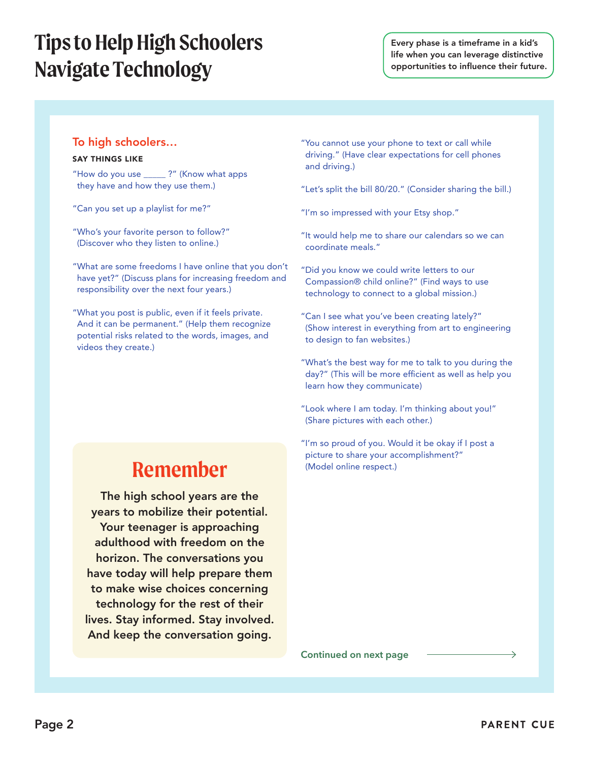## **Tips to Help High Schoolers Navigate Technology**

Every phase is a timeframe in a kid's life when you can leverage distinctive opportunities to influence their future.

#### To high schoolers…

#### SAY THINGS LIKE

- "How do you use \_\_\_\_\_ ?" (Know what apps they have and how they use them.)
- "Can you set up a playlist for me?"
- "Who's your favorite person to follow?" (Discover who they listen to online.)
- "What are some freedoms I have online that you don't have yet?" (Discuss plans for increasing freedom and responsibility over the next four years.)
- "What you post is public, even if it feels private. And it can be permanent." (Help them recognize potential risks related to the words, images, and videos they create.)
- "You cannot use your phone to text or call while driving." (Have clear expectations for cell phones and driving.)
- "Let's split the bill 80/20." (Consider sharing the bill.)
- "I'm so impressed with your Etsy shop."
- "It would help me to share our calendars so we can coordinate meals."
- "Did you know we could write letters to our Compassion® child online?" (Find ways to use technology to connect to a global mission.)
- "Can I see what you've been creating lately?" (Show interest in everything from art to engineering to design to fan websites.)
- "What's the best way for me to talk to you during the day?" (This will be more efficient as well as help you learn how they communicate)
- "Look where I am today. I'm thinking about you!" (Share pictures with each other.)
- "I'm so proud of you. Would it be okay if I post a picture to share your accomplishment?" (Model online respect.)

### **Remember**

The high school years are the years to mobilize their potential. Your teenager is approaching adulthood with freedom on the horizon. The conversations you have today will help prepare them to make wise choices concerning technology for the rest of their lives. Stay informed. Stay involved. And keep the conversation going.

**Continued on next page**